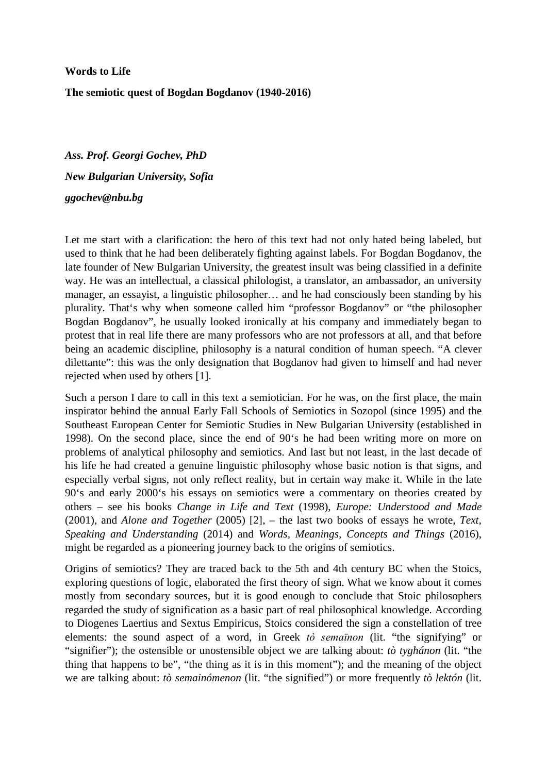**Words to Life The semiotic quest of Bogdan Bogdanov (1940-2016)**

*Ass. Prof. Georgi Gochev, PhD New Bulgarian University, Sofia ggochev@nbu.bg*

Let me start with a clarification: the hero of this text had not only hated being labeled, but used to think that he had been deliberately fighting against labels. For Bogdan Bogdanov, the late founder of New Bulgarian University, the greatest insult was being classified in a definite way. He was an intellectual, a classical philologist, a translator, an ambassador, an university manager, an essayist, a linguistic philosopher… and he had consciously been standing by his plurality. That's why when someone called him "professor Bogdanov" or "the philosopher Bogdan Bogdanov", he usually looked ironically at his company and immediately began to protest that in real life there are many professors who are not professors at all, and that before being an academic discipline, philosophy is a natural condition of human speech. "A clever dilettante": this was the only designation that Bogdanov had given to himself and had never rejected when used by others [1].

Such a person I dare to call in this text a semiotician. For he was, on the first place, the main inspirator behind the annual Early Fall Schools of Semiotics in Sozopol (since 1995) and the Southeast European Center for Semiotic Studies in New Bulgarian University (established in 1998). On the second place, since the end of 90's he had been writing more on more on problems of analytical philosophy and semiotics. And last but not least, in the last decade of his life he had created a genuine linguistic philosophy whose basic notion is that signs, and especially verbal signs, not only reflect reality, but in certain way make it. While in the late 90's and early 2000's his essays on semiotics were a commentary on theories created by others – see his books *Change in Life and Text* (1998), *Europe: Understood and Made* (2001), and *Alone and Together* (2005) [2], – the last two books of essays he wrote, *Text, Speaking and Understanding* (2014) and *Words, Meanings, Concepts and Things* (2016), might be regarded as a pioneering journey back to the origins of semiotics.

Origins of semiotics? They are traced back to the 5th and 4th century BC when the Stoics, exploring questions of logic, elaborated the first theory of sign. What we know about it comes mostly from secondary sources, but it is good enough to conclude that Stoic philosophers regarded the study of signification as a basic part of real philosophical knowledge. According to Diogenes Laertius and Sextus Empiricus, Stoics considered the sign a constellation of tree elements: the sound aspect of a word, in Greek *tò semaīnon* (lit. "the signifying" or "signifier"); the ostensible or unostensible object we are talking about: *tò tyghánon* (lit. "the thing that happens to be", "the thing as it is in this moment"); and the meaning of the object we are talking about: *tò semainómenon* (lit. "the signified") or more frequently *tò lektón* (lit.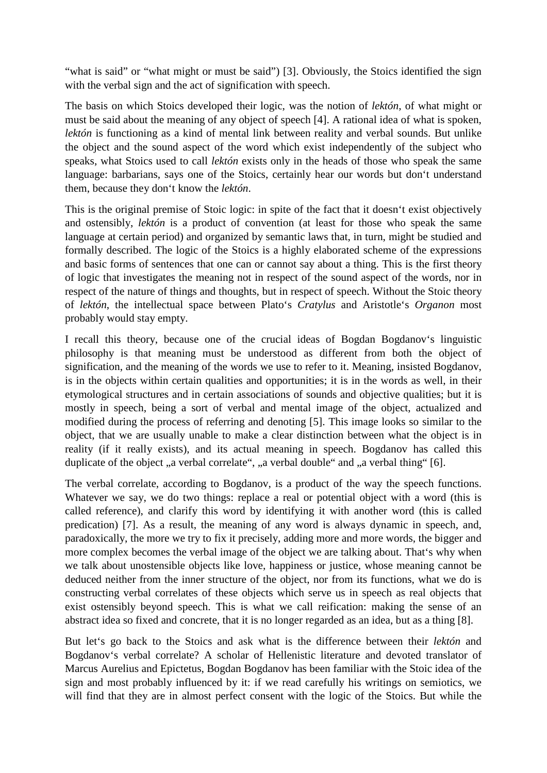"what is said" or "what might or must be said") [3]. Obviously, the Stoics identified the sign with the verbal sign and the act of signification with speech.

The basis on which Stoics developed their logic, was the notion of *lektón*, of what might or must be said about the meaning of any object of speech [4]. A rational idea of what is spoken, *lektón* is functioning as a kind of mental link between reality and verbal sounds. But unlike the object and the sound aspect of the word which exist independently of the subject who speaks, what Stoics used to call *lektón* exists only in the heads of those who speak the same language: barbarians, says one of the Stoics, certainly hear our words but don't understand them, because they don't know the *lektón*.

This is the original premise of Stoic logic: in spite of the fact that it doesn't exist objectively and ostensibly, *lektón* is a product of convention (at least for those who speak the same language at certain period) and organized by semantic laws that, in turn, might be studied and formally described. The logic of the Stoics is a highly elaborated scheme of the expressions and basic forms of sentences that one can or cannot say about a thing. This is the first theory of logic that investigates the meaning not in respect of the sound aspect of the words, nor in respect of the nature of things and thoughts, but in respect of speech. Without the Stoic theory of *lektón*, the intellectual space between Plato's *Cratylus* and Aristotle's *Organon* most probably would stay empty.

I recall this theory, because one of the crucial ideas of Bogdan Bogdanov's linguistic philosophy is that meaning must be understood as different from both the object of signification, and the meaning of the words we use to refer to it. Meaning, insisted Bogdanov, is in the objects within certain qualities and opportunities; it is in the words as well, in their etymological structures and in certain associations of sounds and objective qualities; but it is mostly in speech, being a sort of verbal and mental image of the object, actualized and modified during the process of referring and denoting [5]. This image looks so similar to the object, that we are usually unable to make a clear distinction between what the object is in reality (if it really exists), and its actual meaning in speech. Bogdanov has called this duplicate of the object "a verbal correlate", "a verbal double" and "a verbal thing" [6].

The verbal correlate, according to Bogdanov, is a product of the way the speech functions. Whatever we say, we do two things: replace a real or potential object with a word (this is called reference), and clarify this word by identifying it with another word (this is called predication) [7]. As a result, the meaning of any word is always dynamic in speech, and, paradoxically, the more we try to fix it precisely, adding more and more words, the bigger and more complex becomes the verbal image of the object we are talking about. That's why when we talk about unostensible objects like love, happiness or justice, whose meaning cannot be deduced neither from the inner structure of the object, nor from its functions, what we do is constructing verbal correlates of these objects which serve us in speech as real objects that exist ostensibly beyond speech. This is what we call reification: making the sense of an abstract idea so fixed and concrete, that it is no longer regarded as an idea, but as a thing [8].

But let's go back to the Stoics and ask what is the difference between their *lektón* and Bogdanov's verbal correlate? A scholar of Hellenistic literature and devoted translator of Marcus Aurelius and Epictetus, Bogdan Bogdanov has been familiar with the Stoic idea of the sign and most probably influenced by it: if we read carefully his writings on semiotics, we will find that they are in almost perfect consent with the logic of the Stoics. But while the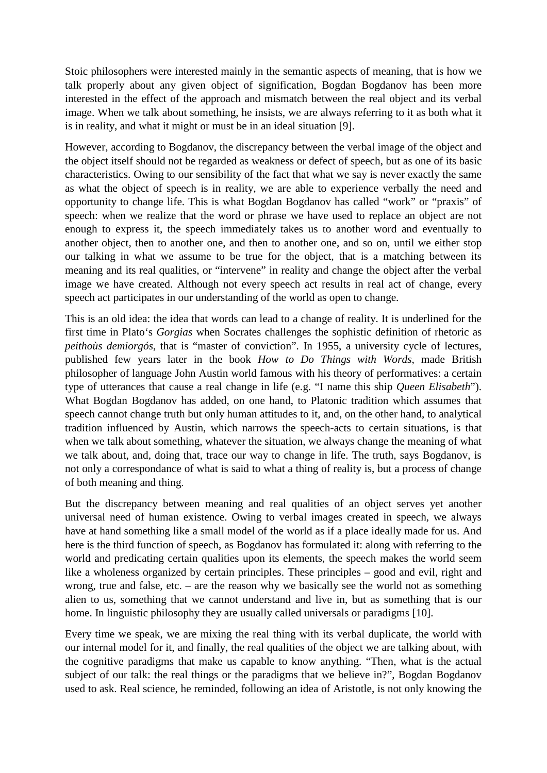Stoic philosophers were interested mainly in the semantic aspects of meaning, that is how we talk properly about any given object of signification, Bogdan Bogdanov has been more interested in the effect of the approach and mismatch between the real object and its verbal image. When we talk about something, he insists, we are always referring to it as both what it is in reality, and what it might or must be in an ideal situation [9].

However, according to Bogdanov, the discrepancy between the verbal image of the object and the object itself should not be regarded as weakness or defect of speech, but as one of its basic characteristics. Owing to our sensibility of the fact that what we say is never exactly the same as what the object of speech is in reality, we are able to experience verbally the need and opportunity to change life. This is what Bogdan Bogdanov has called "work" or "praxis" of speech: when we realize that the word or phrase we have used to replace an object are not enough to express it, the speech immediately takes us to another word and eventually to another object, then to another one, and then to another one, and so on, until we either stop our talking in what we assume to be true for the object, that is a matching between its meaning and its real qualities, or "intervene" in reality and change the object after the verbal image we have created. Although not every speech act results in real act of change, every speech act participates in our understanding of the world as open to change.

This is an old idea: the idea that words can lead to a change of reality. It is underlined for the first time in Plato's *Gorgias* when Socrates challenges the sophistic definition of rhetoric as *peithoùs demiorgós*, that is "master of conviction". In 1955, a university cycle of lectures, published few years later in the book *How to Do Things with Words*, made British philosopher of language John Austin world famous with his theory of performatives: a certain type of utterances that cause a real change in life (e.g. "I name this ship *Queen Elisabeth*"). What Bogdan Bogdanov has added, on one hand, to Platonic tradition which assumes that speech cannot change truth but only human attitudes to it, and, on the other hand, to analytical tradition influenced by Austin, which narrows the speech-acts to certain situations, is that when we talk about something, whatever the situation, we always change the meaning of what we talk about, and, doing that, trace our way to change in life. The truth, says Bogdanov, is not only a correspondance of what is said to what a thing of reality is, but a process of change of both meaning and thing.

But the discrepancy between meaning and real qualities of an object serves yet another universal need of human existence. Owing to verbal images created in speech, we always have at hand something like a small model of the world as if a place ideally made for us. And here is the third function of speech, as Bogdanov has formulated it: along with referring to the world and predicating certain qualities upon its elements, the speech makes the world seem like a wholeness organized by certain principles. These principles – good and evil, right and wrong, true and false, etc. – are the reason why we basically see the world not as something alien to us, something that we cannot understand and live in, but as something that is our home. In linguistic philosophy they are usually called universals or paradigms [10].

Every time we speak, we are mixing the real thing with its verbal duplicate, the world with our internal model for it, and finally, the real qualities of the object we are talking about, with the cognitive paradigms that make us capable to know anything. "Then, what is the actual subject of our talk: the real things or the paradigms that we believe in?", Bogdan Bogdanov used to ask. Real science, he reminded, following an idea of Aristotle, is not only knowing the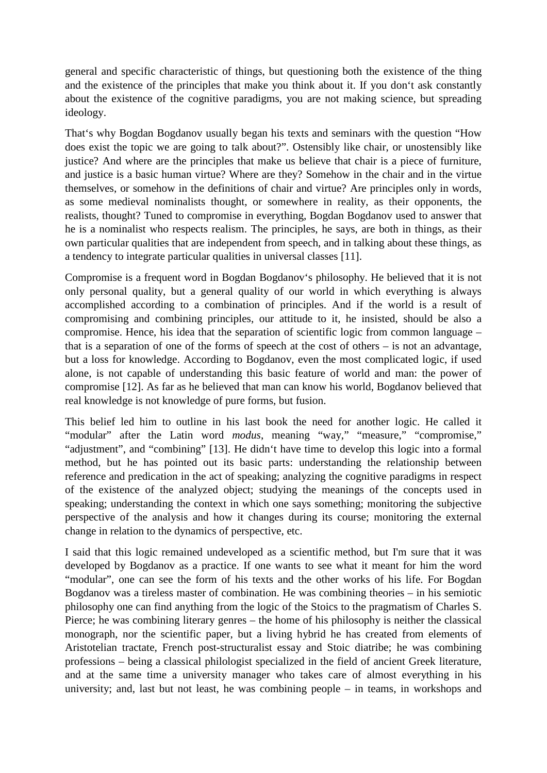general and specific characteristic of things, but questioning both the existence of the thing and the existence of the principles that make you think about it. If you don't ask constantly about the existence of the cognitive paradigms, you are not making science, but spreading ideology.

That's why Bogdan Bogdanov usually began his texts and seminars with the question "How does exist the topic we are going to talk about?". Ostensibly like chair, or unostensibly like justice? And where are the principles that make us believe that chair is a piece of furniture, and justice is a basic human virtue? Where are they? Somehow in the chair and in the virtue themselves, or somehow in the definitions of chair and virtue? Are principles only in words, as some medieval nominalists thought, or somewhere in reality, as their opponents, the realists, thought? Tuned to compromise in everything, Bogdan Bogdanov used to answer that he is a nominalist who respects realism. The principles, he says, are both in things, as their own particular qualities that are independent from speech, and in talking about these things, as a tendency to integrate particular qualities in universal classes [11].

Compromise is a frequent word in Bogdan Bogdanov's philosophy. He believed that it is not only personal quality, but a general quality of our world in which everything is always accomplished according to a combination of principles. And if the world is a result of compromising and combining principles, our attitude to it, he insisted, should be also a compromise. Hence, his idea that the separation of scientific logic from common language – that is a separation of one of the forms of speech at the cost of others – is not an advantage, but a loss for knowledge. According to Bogdanov, even the most complicated logic, if used alone, is not capable of understanding this basic feature of world and man: the power of compromise [12]. As far as he believed that man can know his world, Bogdanov believed that real knowledge is not knowledge of pure forms, but fusion.

This belief led him to outline in his last book the need for another logic. He called it "modular" after the Latin word *modus*, meaning "way," "measure," "compromise," "adjustment", and "combining" [13]. He didn't have time to develop this logic into a formal method, but he has pointed out its basic parts: understanding the relationship between reference and predication in the act of speaking; analyzing the cognitive paradigms in respect of the existence of the analyzed object; studying the meanings of the concepts used in speaking; understanding the context in which one says something; monitoring the subjective perspective of the analysis and how it changes during its course; monitoring the external change in relation to the dynamics of perspective, etc.

I said that this logic remained undeveloped as a scientific method, but I'm sure that it was developed by Bogdanov as a practice. If one wants to see what it meant for him the word "modular", one can see the form of his texts and the other works of his life. For Bogdan Bogdanov was a tireless master of combination. He was combining theories – in his semiotic philosophy one can find anything from the logic of the Stoics to the pragmatism of Charles S. Pierce; he was combining literary genres – the home of his philosophy is neither the classical monograph, nor the scientific paper, but a living hybrid he has created from elements of Aristotelian tractate, French post-structuralist essay and Stoic diatribe; he was combining professions – being a classical philologist specialized in the field of ancient Greek literature, and at the same time a university manager who takes care of almost everything in his university; and, last but not least, he was combining people – in teams, in workshops and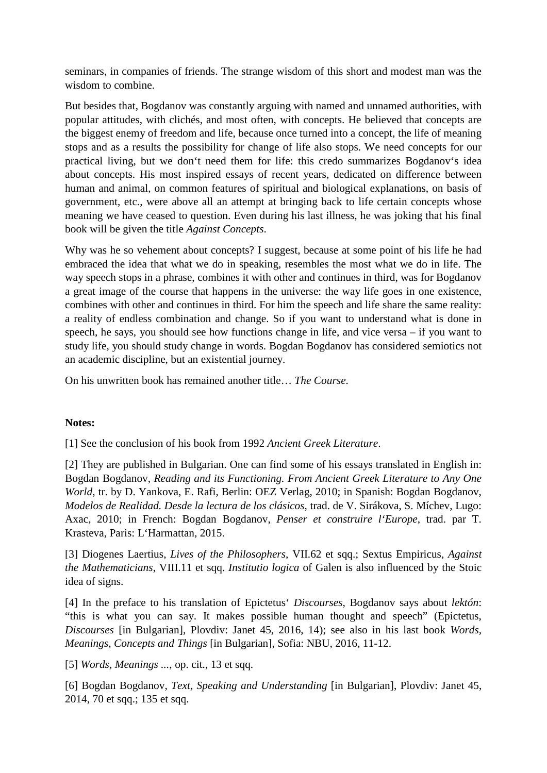seminars, in companies of friends. The strange wisdom of this short and modest man was the wisdom to combine.

But besides that, Bogdanov was constantly arguing with named and unnamed authorities, with popular attitudes, with clichés, and most often, with concepts. He believed that concepts are the biggest enemy of freedom and life, because once turned into a concept, the life of meaning stops and as a results the possibility for change of life also stops. We need concepts for our practical living, but we don't need them for life: this credo summarizes Bogdanov's idea about concepts. His most inspired essays of recent years, dedicated on difference between human and animal, on common features of spiritual and biological explanations, on basis of government, etc., were above all an attempt at bringing back to life certain concepts whose meaning we have ceased to question. Even during his last illness, he was joking that his final book will be given the title *Against Concepts*.

Why was he so vehement about concepts? I suggest, because at some point of his life he had embraced the idea that what we do in speaking, resembles the most what we do in life. The way speech stops in a phrase, combines it with other and continues in third, was for Bogdanov a great image of the course that happens in the universe: the way life goes in one existence, combines with other and continues in third. For him the speech and life share the same reality: a reality of endless combination and change. So if you want to understand what is done in speech, he says, you should see how functions change in life, and vice versa – if you want to study life, you should study change in words. Bogdan Bogdanov has considered semiotics not an academic discipline, but an existential journey.

On his unwritten book has remained another title… *The Course*.

## **Notes:**

[1] See the conclusion of his book from 1992 *Ancient Greek Literature*.

[2] They are published in Bulgarian. One can find some of his essays translated in English in: Bogdan Bogdanov, *Reading and its Functioning. From Ancient Greek Literature to Any One World*, tr. by D. Yankova, E. Rafi, Berlin: OEZ Verlag, 2010; in Spanish: Bogdan Bogdanov, *Modelos de Realidad. Desde la lectura de los clásicos*, trad. de V. Sirákova, S. Míchev, Lugo: Axac, 2010; in French: Bogdan Bogdanov, *Penser et construire l'Europe*, trad. par T. Krasteva, Paris: L'Harmattan, 2015.

[3] Diogenes Laertius, *Lives of the Philosophers*, VII.62 et sqq.; Sextus Empiricus, *Against the Mathematicians*, VIII.11 et sqq. *Institutio logica* of Galen is also influenced by the Stoic idea of signs.

[4] In the preface to his translation of Epictetus' *Discourses*, Bogdanov says about *lektón*: "this is what you can say. It makes possible human thought and speech" (Epictetus, *Discourses* [in Bulgarian], Plovdiv: Janet 45, 2016, 14); see also in his last book *Words, Meanings, Concepts and Things* [in Bulgarian], Sofia: NBU, 2016, 11-12.

[5] *Words, Meanings ...*, op. cit., 13 et sqq.

[6] Bogdan Bogdanov, *Text, Speaking and Understanding* [in Bulgarian], Plovdiv: Janet 45, 2014, 70 et sqq.; 135 et sqq.